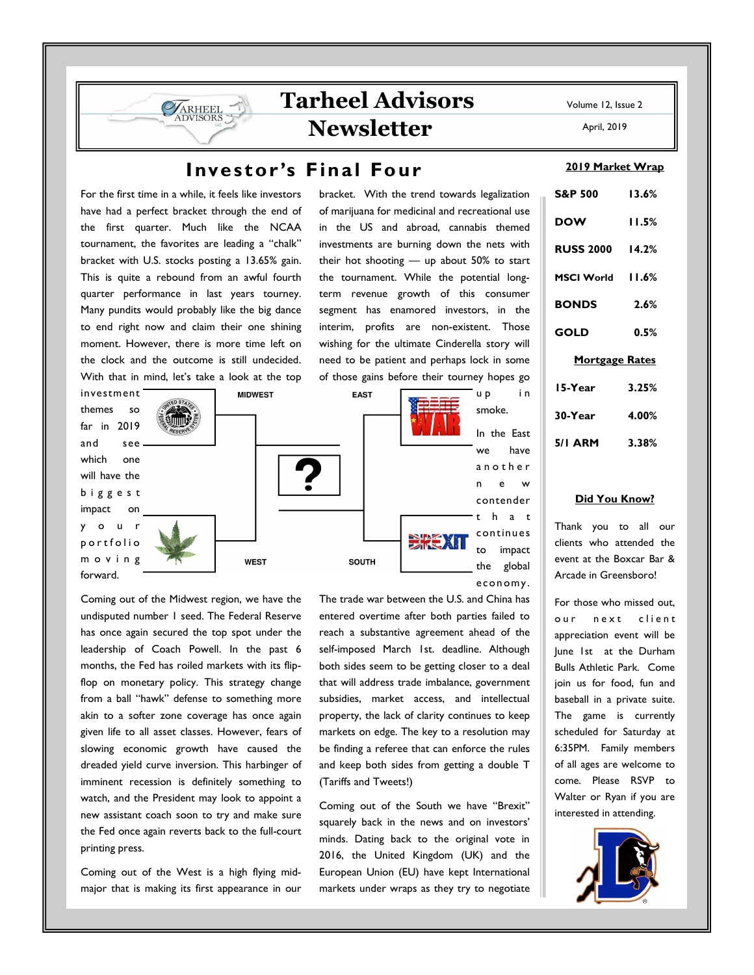bracket. With the trend towards legalization of marijuana for medicinal and recreational use in the US and abroad, cannabis themed investments are burning down the nets with their hot shooting — up about 50% to start

# **Investor's Final Four**

For the first time in a while, it feels like investors have had a perfect bracket through the end of the first quarter. Much like the NCAA tournament, the favorites are leading a "chalk" bracket with U.S. stocks posting a 13.65% gain. This is quite a rebound from an awful fourth quarter performance in last years tourney. Many pundits would probably like the big dance to end right now and claim their one shining moment. However, there is more time left on the clock and the outcome is still undecided. With that in mind, let's take a look at the top

ARHEEL

investment **MIDWEST EAST** themes so far in 2019 and see which one will have the b i g g e s t impact on y o u r 深美灯 portfolio

**WEST** 

the tournament. While the potential longterm revenue growth of this consumer segment has enamored investors, in the interim, profits are non-existent. Those wishing for the ultimate Cinderella story will need to be patient and perhaps lock in some of those gains before their tourney hopes go u p i n smoke. In the East

we have a n o t h e r n e w contender t h a t continues to impact the global econ omy.

Coming out of the Midwest region, we have the undisputed number 1 seed. The Federal Reserve has once again secured the top spot under the leadership of Coach Powell. In the past 6 months, the Fed has roiled markets with its flipflop on monetary policy. This strategy change from a ball "hawk" defense to something more akin to a softer zone coverage has once again given life to all asset classes. However, fears of slowing economic growth have caused the dreaded yield curve inversion. This harbinger of imminent recession is definitely something to watch, and the President may look to appoint a new assistant coach soon to try and make sure the Fed once again reverts back to the full-court printing press.

m o v i n g forward.

Coming out of the West is a high flying midmajor that is making its first appearance in our The trade war between the U.S. and China has entered overtime after both parties failed to reach a substantive agreement ahead of the self-imposed March 1st. deadline. Although both sides seem to be getting closer to a deal that will address trade imbalance, government subsidies, market access, and intellectual property, the lack of clarity continues to keep markets on edge. The key to a resolution may be finding a referee that can enforce the rules and keep both sides from getting a double T (Tariffs and Tweets!)

SOUTH

Coming out of the South we have "Brexit" squarely back in the news and on investors' minds. Dating back to the original vote in 2016, the United Kingdom (UK) and the European Union (EU) have kept International markets under wraps as they try to negotiate

|                    | 2019 Market Wrap |
|--------------------|------------------|
|                    |                  |
| <b>S&amp;P 500</b> | 13.6%            |

**DOW 11.5% RUSS 2000 14.2% MSCI World 11.6% BONDS 2.6% GOLD 0.5% Mortgage Rates 15-Year 3.25% 30-Year 4.00% 5/1 ARM 3.38%** 

#### **Did You Know?**

Thank you to all our clients who attended the event at the Boxcar Bar & Arcade in Greensboro!

For those who missed out, our next client appreciation event will be June 1st at the Durham Bulls Athletic Park. Come join us for food, fun and baseball in a private suite. The game is currently scheduled for Saturday at 6:35PM. Family members of all ages are welcome to come. Please RSVP to Walter or Ryan if you are interested in attending.



Volume 12, Issue 2

April, 2019